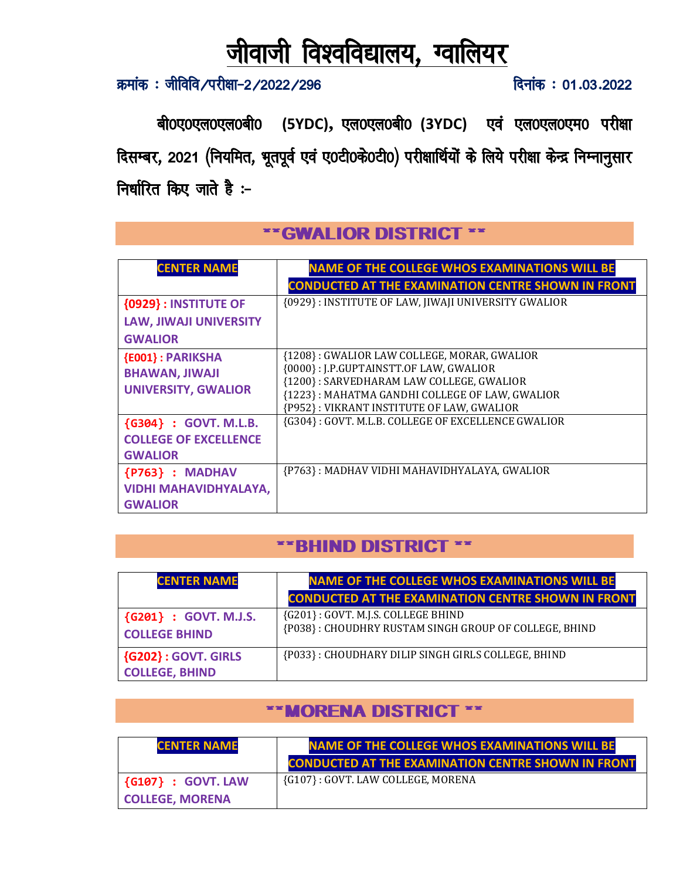# जीवाजी विश्वविद्यालय, ग्वालियर

क्रमांक: जीविवि/परीक्षा-2/2022/296

दिनांक: 01.03.2022

बी0ए0एल0एल0बी0 (5YDC), एल0एल0बी0 (3YDC) एवं एल0एल0एम0 परीक्षा दिसम्बर, 2021 (नियमित, भूतपूर्व एवं ए0टी0के0टी0) परीक्षार्थियों के लिये परीक्षा केन्द्र निम्नानुसार निर्धारित किए जाते हैं:-

| <b>CENTER NAME</b>                                                             | <b>NAME OF THE COLLEGE WHOS EXAMINATIONS WILL BE</b><br><b>CONDUCTED AT THE EXAMINATION CENTRE SHOWN IN FRONT</b>                                                                                                                |
|--------------------------------------------------------------------------------|----------------------------------------------------------------------------------------------------------------------------------------------------------------------------------------------------------------------------------|
| <b>{0929}: INSTITUTE OF</b><br><b>LAW, JIWAJI UNIVERSITY</b><br><b>GWALIOR</b> | {0929}: INSTITUTE OF LAW, JIWAJI UNIVERSITY GWALIOR                                                                                                                                                                              |
| <b>{E001}: PARIKSHA</b><br><b>BHAWAN, JIWAJI</b><br><b>UNIVERSITY, GWALIOR</b> | {1208}: GWALIOR LAW COLLEGE, MORAR, GWALIOR<br>{0000}: J.P.GUPTAINSTT.OF LAW, GWALIOR<br>{1200}: SARVEDHARAM LAW COLLEGE, GWALIOR<br>{1223}: MAHATMA GANDHI COLLEGE OF LAW, GWALIOR<br>{P952}: VIKRANT INSTITUTE OF LAW, GWALIOR |
| {G304} : GOVT. M.L.B.<br><b>COLLEGE OF EXCELLENCE</b><br><b>GWALIOR</b>        | {G304}: GOVT. M.L.B. COLLEGE OF EXCELLENCE GWALIOR                                                                                                                                                                               |
| {P763} : MADHAV<br><b>VIDHI MAHAVIDHYALAYA,</b><br><b>GWALIOR</b>              | {P763}: MADHAV VIDHI MAHAVIDHYALAYA, GWALIOR                                                                                                                                                                                     |

#### ""GWALIOR DISTRICT \*\*

## "BHIND DISTRICT ""

| <b>CENTER NAME</b>                                  | <b>NAME OF THE COLLEGE WHOS EXAMINATIONS WILL BE</b>                                        |
|-----------------------------------------------------|---------------------------------------------------------------------------------------------|
|                                                     | <b>CONDUCTED AT THE EXAMINATION CENTRE SHOWN IN FRONT</b>                                   |
| {G201} : GOVT. M.J.S.<br><b>COLLEGE BHIND</b>       | {G201}: GOVT. M.J.S. COLLEGE BHIND<br>{P038}: CHOUDHRY RUSTAM SINGH GROUP OF COLLEGE, BHIND |
| <b>{G202}: GOVT. GIRLS</b><br><b>COLLEGE, BHIND</b> | {P033}: CHOUDHARY DILIP SINGH GIRLS COLLEGE, BHIND                                          |

# \*\* MORENA DISTRICT \*\*

| <b>CENTER NAME</b>                  | <b>NAME OF THE COLLEGE WHOS EXAMINATIONS WILL BE</b>      |
|-------------------------------------|-----------------------------------------------------------|
|                                     | <b>CONDUCTED AT THE EXAMINATION CENTRE SHOWN IN FRONT</b> |
| $\left\{\right.$ (G107) : GOVT. LAW | {G107}: GOVT. LAW COLLEGE, MORENA                         |
| <b>COLLEGE, MORENA</b>              |                                                           |